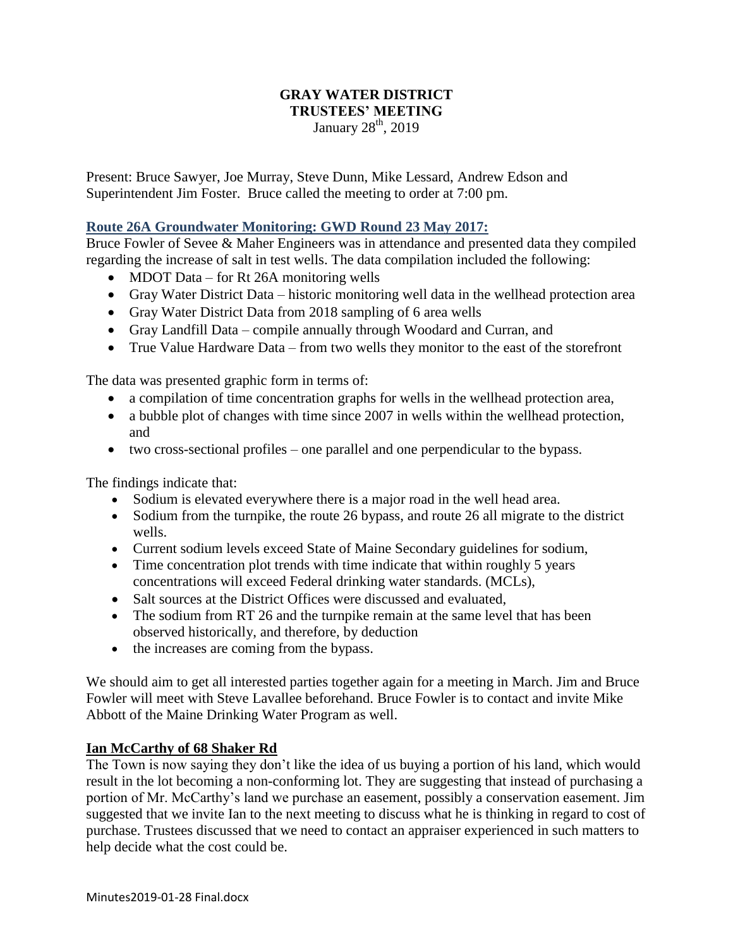### **GRAY WATER DISTRICT TRUSTEES' MEETING** January 28<sup>th</sup>, 2019

Present: Bruce Sawyer, Joe Murray, Steve Dunn, Mike Lessard, Andrew Edson and Superintendent Jim Foster. Bruce called the meeting to order at 7:00 pm.

# **Route 26A Groundwater Monitoring: GWD Round 23 May 2017:**

Bruce Fowler of Sevee & Maher Engineers was in attendance and presented data they compiled regarding the increase of salt in test wells. The data compilation included the following:

- MDOT Data for Rt 26A monitoring wells
- Gray Water District Data historic monitoring well data in the wellhead protection area
- Gray Water District Data from 2018 sampling of 6 area wells
- Gray Landfill Data compile annually through Woodard and Curran, and
- True Value Hardware Data from two wells they monitor to the east of the storefront

The data was presented graphic form in terms of:

- a compilation of time concentration graphs for wells in the wellhead protection area,
- a bubble plot of changes with time since 2007 in wells within the wellhead protection, and
- two cross-sectional profiles one parallel and one perpendicular to the bypass.

The findings indicate that:

- Sodium is elevated everywhere there is a major road in the well head area.
- Sodium from the turnpike, the route 26 bypass, and route 26 all migrate to the district wells.
- Current sodium levels exceed State of Maine Secondary guidelines for sodium,
- Time concentration plot trends with time indicate that within roughly 5 years concentrations will exceed Federal drinking water standards. (MCLs),
- Salt sources at the District Offices were discussed and evaluated,
- The sodium from RT 26 and the turnpike remain at the same level that has been observed historically, and therefore, by deduction
- the increases are coming from the bypass.

We should aim to get all interested parties together again for a meeting in March. Jim and Bruce Fowler will meet with Steve Lavallee beforehand. Bruce Fowler is to contact and invite Mike Abbott of the Maine Drinking Water Program as well.

### **Ian McCarthy of 68 Shaker Rd**

The Town is now saying they don't like the idea of us buying a portion of his land, which would result in the lot becoming a non-conforming lot. They are suggesting that instead of purchasing a portion of Mr. McCarthy's land we purchase an easement, possibly a conservation easement. Jim suggested that we invite Ian to the next meeting to discuss what he is thinking in regard to cost of purchase. Trustees discussed that we need to contact an appraiser experienced in such matters to help decide what the cost could be.